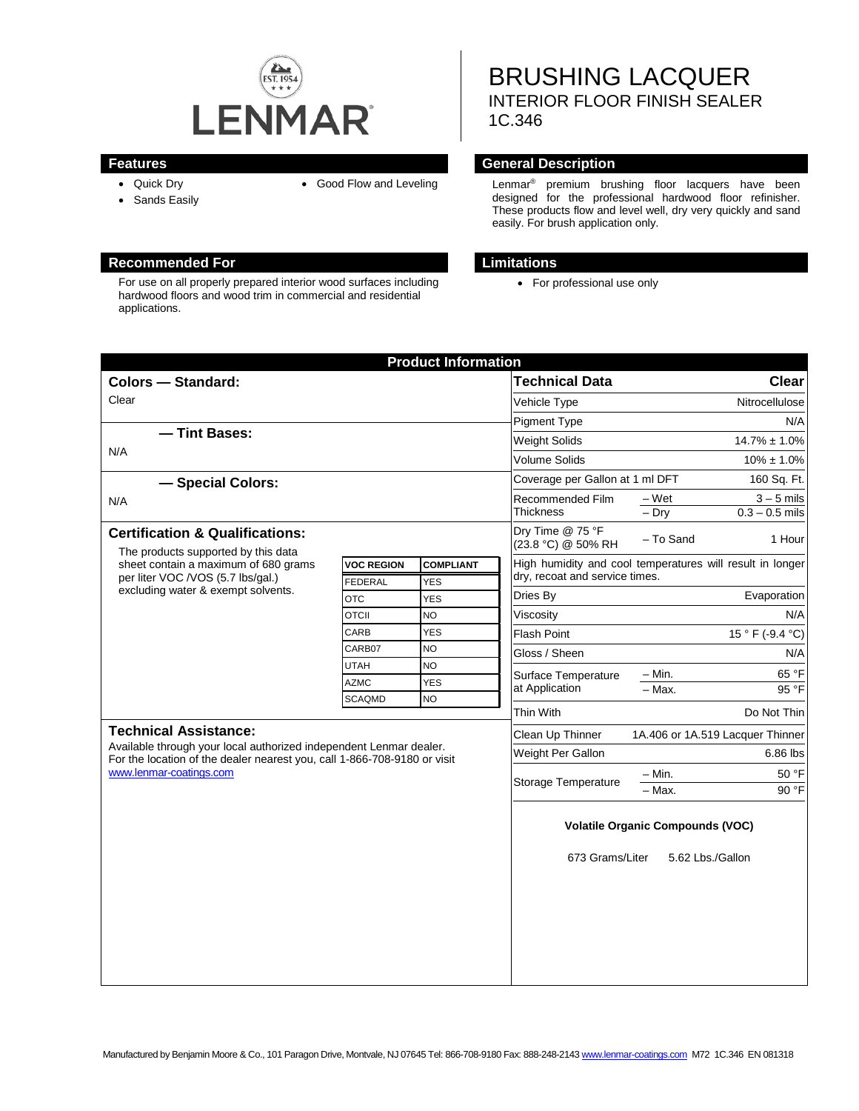

- Quick Dry
- Sands Easily

#### **Recommended For Limitations**

For use on all properly prepared interior wood surfaces including hardwood floors and wood trim in commercial and residential applications.

BRUSHING LACQUER INTERIOR FLOOR FINISH SEALER 1C.346

#### **Features General Description**

• Good Flow and Leveling Lenmar<sup>®</sup> premium brushing floor lacquers have been designed for the professional hardwood floor refinisher. These products flow and level well, dry very quickly and sand easily. For brush application only.

• For professional use only

| <b>Product Information</b>                                                                                                                                                                                |                   |                  |                                                                                             |                                      |
|-----------------------------------------------------------------------------------------------------------------------------------------------------------------------------------------------------------|-------------------|------------------|---------------------------------------------------------------------------------------------|--------------------------------------|
| <b>Colors - Standard:</b>                                                                                                                                                                                 |                   |                  | <b>Technical Data</b>                                                                       | <b>Clear</b>                         |
| Clear                                                                                                                                                                                                     |                   |                  | Vehicle Type                                                                                | Nitrocellulose                       |
|                                                                                                                                                                                                           |                   |                  | <b>Pigment Type</b>                                                                         | N/A                                  |
| - Tint Bases:<br>N/A                                                                                                                                                                                      |                   |                  | Weight Solids                                                                               | $14.7\% \pm 1.0\%$                   |
|                                                                                                                                                                                                           |                   |                  | Volume Solids                                                                               | $10\% \pm 1.0\%$                     |
| - Special Colors:                                                                                                                                                                                         |                   |                  | Coverage per Gallon at 1 ml DFT                                                             | 160 Sq. Ft.                          |
| N/A                                                                                                                                                                                                       |                   |                  | Recommended Film<br><b>Thickness</b>                                                        | $3 - 5$ mils<br>– Wet                |
|                                                                                                                                                                                                           |                   |                  |                                                                                             | $-$ Drv<br>$0.3 - 0.5$ mils          |
| <b>Certification &amp; Qualifications:</b><br>The products supported by this data                                                                                                                         |                   |                  | Dry Time @ 75 °F<br>(23.8 °C) @ 50% RH                                                      | - To Sand<br>1 Hour                  |
| sheet contain a maximum of 680 grams<br>per liter VOC /VOS (5.7 lbs/gal.)<br>excluding water & exempt solvents.                                                                                           | <b>VOC REGION</b> | <b>COMPLIANT</b> | High humidity and cool temperatures will result in longer<br>dry, recoat and service times. |                                      |
|                                                                                                                                                                                                           | <b>FEDERAL</b>    | <b>YES</b>       |                                                                                             |                                      |
|                                                                                                                                                                                                           | <b>OTC</b>        | <b>YES</b>       | Dries By                                                                                    | Evaporation                          |
|                                                                                                                                                                                                           | <b>OTCII</b>      | <b>NO</b>        | Viscosity                                                                                   | N/A                                  |
|                                                                                                                                                                                                           | CARB              | <b>YES</b>       | <b>Flash Point</b>                                                                          | 15 ° F (-9.4 °C)                     |
|                                                                                                                                                                                                           | CARB07            | <b>NO</b>        | Gloss / Sheen                                                                               | N/A                                  |
|                                                                                                                                                                                                           | <b>UTAH</b>       | <b>NO</b>        | Surface Temperature<br>at Application                                                       | $-$ Min.<br>65 °F                    |
|                                                                                                                                                                                                           | <b>AZMC</b>       | <b>YES</b>       |                                                                                             | 95 °F<br>$-$ Max.                    |
|                                                                                                                                                                                                           | <b>SCAQMD</b>     | <b>NO</b>        | Thin With                                                                                   | Do Not Thin                          |
| <b>Technical Assistance:</b><br>Available through your local authorized independent Lenmar dealer.<br>For the location of the dealer nearest you, call 1-866-708-9180 or visit<br>www.lenmar-coatings.com |                   |                  | Clean Up Thinner                                                                            | 1A.406 or 1A.519 Lacquer Thinner     |
|                                                                                                                                                                                                           |                   |                  | Weight Per Gallon                                                                           | 6.86 lbs                             |
|                                                                                                                                                                                                           |                   |                  | <b>Storage Temperature</b>                                                                  |                                      |
|                                                                                                                                                                                                           |                   |                  |                                                                                             | 50 °F<br>$-$ Min.<br>90 °F<br>- Max. |
|                                                                                                                                                                                                           |                   |                  |                                                                                             |                                      |
|                                                                                                                                                                                                           |                   |                  | <b>Volatile Organic Compounds (VOC)</b><br>673 Grams/Liter<br>5.62 Lbs./Gallon              |                                      |
|                                                                                                                                                                                                           |                   |                  |                                                                                             |                                      |